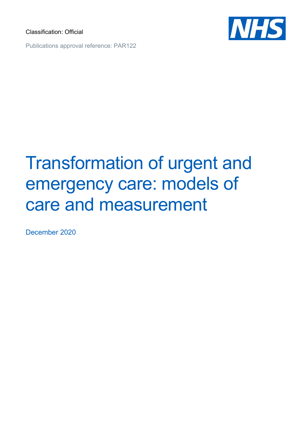Classification: Official



Publications approval reference: PAR122

# Transformation of urgent and emergency care: models of care and measurement

December 2020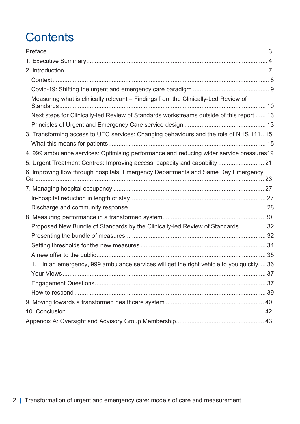# **Contents**

| Measuring what is clinically relevant - Findings from the Clinically-Led Review of                     |  |
|--------------------------------------------------------------------------------------------------------|--|
| Next steps for Clinically-led Review of Standards workstreams outside of this report  13               |  |
|                                                                                                        |  |
| 3. Transforming access to UEC services: Changing behaviours and the role of NHS 111 15                 |  |
|                                                                                                        |  |
| 4. 999 ambulance services: Optimising performance and reducing wider service pressures19               |  |
| 5. Urgent Treatment Centres: Improving access, capacity and capability  21                             |  |
| 6. Improving flow through hospitals: Emergency Departments and Same Day Emergency                      |  |
|                                                                                                        |  |
|                                                                                                        |  |
|                                                                                                        |  |
|                                                                                                        |  |
| Proposed New Bundle of Standards by the Clinically-led Review of Standards 32                          |  |
|                                                                                                        |  |
|                                                                                                        |  |
|                                                                                                        |  |
| In an emergency, 999 ambulance services will get the right vehicle to you quickly 36<br>$\mathbf{1}$ . |  |
|                                                                                                        |  |
|                                                                                                        |  |
|                                                                                                        |  |
|                                                                                                        |  |
|                                                                                                        |  |
|                                                                                                        |  |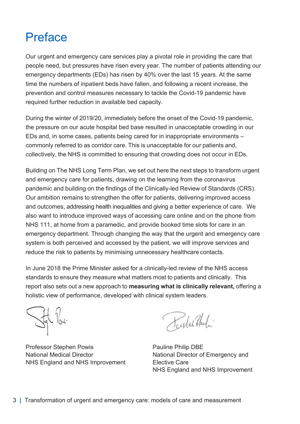### Preface

Our urgent and emergency care services play a pivotal role in providing the care that people need, but pressures have risen every year. The number of patients attending our emergency departments (EDs) has risen by 40% over the last 15 years. At the same time the numbers of inpatient beds have fallen, and following a recent increase, the prevention and control measures necessary to tackle the Covid-19 pandemic have required further reduction in available bed capacity.

During the winter of 2019/20, immediately before the onset of the Covid-19 pandemic, the pressure on our acute hospital bed base resulted in unacceptable crowding in our EDs and, in some cases, patients being cared for in inappropriate environments – commonly referred to as corridor care. This is unacceptable for our patients and, collectively, the NHS is committed to ensuring that crowding does not occur in EDs.

Building on The NHS Long Term Plan, we set out here the next steps to transform urgent and emergency care for patients, drawing on the learning from the coronavirus pandemic and building on the findings of the Clinically-led Review of Standards (CRS). Our ambition remains to strengthen the offer for patients, delivering improved access and outcomes, addressing health inequalities and giving a better experience of care. We also want to introduce improved ways of accessing care online and on the phone from NHS 111, at home from a paramedic, and provide booked time slots for care in an emergency department. Through changing the way that the urgent and emergency care system is both perceived and accessed by the patient, we will improve services and reduce the risk to patients by minimising unnecessary healthcare contacts.

In June 2018 the Prime Minister asked for a clinically-led review of the NHS access standards to ensure they measure what matters most to patients and clinically. This report also sets out a new approach to measuring what is clinically relevant, offering a holistic view of performance, developed with clinical system leaders.

Professor Stephen Powis Pauline Philip DBE National Medical Director National Director of Emergency and NHS England and NHS Improvement Elective Care

Karles The

NHS England and NHS Improvement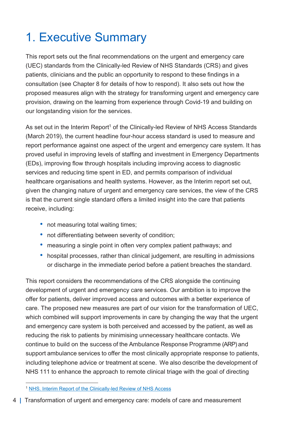# 1. Executive Summary

This report sets out the final recommendations on the urgent and emergency care (UEC) standards from the Clinically-led Review of NHS Standards (CRS) and gives patients, clinicians and the public an opportunity to respond to these findings in a consultation (see Chapter 8 for details of how to respond). It also sets out how the proposed measures align with the strategy for transforming urgent and emergency care provision, drawing on the learning from experience through Covid-19 and building on our longstanding vision for the services.

As set out in the Interim Report<sup>1</sup> of the Clinically-led Review of NHS Access Standards (March 2019), the current headline four-hour access standard is used to measure and report performance against one aspect of the urgent and emergency care system. It has proved useful in improving levels of staffing and investment in Emergency Departments (EDs), improving flow through hospitals including improving access to diagnostic services and reducing time spent in ED, and permits comparison of individual healthcare organisations and health systems. However, as the Interim report set out, given the changing nature of urgent and emergency care services, the view of the CRS is that the current single standard offers a limited insight into the care that patients receive, including:

- not measuring total waiting times;
- not differentiating between severity of condition:
- measuring a single point in often very complex patient pathways; and
- hospital processes, rather than clinical judgement, are resulting in admissions or discharge in the immediate period before a patient breaches the standard.

This report considers the recommendations of the CRS alongside the continuing development of urgent and emergency care services. Our ambition is to improve the offer for patients, deliver improved access and outcomes with a better experience of care. The proposed new measures are part of our vision for the transformation of UEC, which combined will support improvements in care by changing the way that the urgent and emergency care system is both perceived and accessed by the patient, as well as reducing the risk to patients by minimising unnecessary healthcare contacts. We continue to build on the success of the Ambulance Response Programme (ARP) and support ambulance services to offer the most clinically appropriate response to patients, including telephone advice or treatment at scene. We also describe the development of NHS 111 to enhance the approach to remote clinical triage with the goal of directing

<sup>1</sup> NHS. Interim Report of the Clinically-led Review of NHS Access

<sup>4</sup> | Transformation of urgent and emergency care: models of care and measurement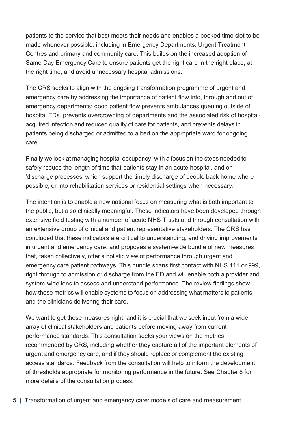patients to the service that best meets their needs and enables a booked time slot to be made whenever possible, including in Emergency Departments, Urgent Treatment Centres and primary and community care. This builds on the increased adoption of Same Day Emergency Care to ensure patients get the right care in the right place, at the right time, and avoid unnecessary hospital admissions.

The CRS seeks to align with the ongoing transformation programme of urgent and emergency care by addressing the importance of patient flow into, through and out of emergency departments; good patient flow prevents ambulances queuing outside of hospital EDs, prevents overcrowding of departments and the associated risk of hospitalacquired infection and reduced quality of care for patients, and prevents delays in patients being discharged or admitted to a bed on the appropriate ward for ongoing care.

Finally we look at managing hospital occupancy, with a focus on the steps needed to safely reduce the length of time that patients stay in an acute hospital, and on 'discharge processes' which support the timely discharge of people back home where possible, or into rehabilitation services or residential settings when necessary.

The intention is to enable a new national focus on measuring what is both important to the public, but also clinically meaningful. These indicators have been developed through extensive field testing with a number of acute NHS Trusts and through consultation with an extensive group of clinical and patient representative stakeholders. The CRS has concluded that these indicators are critical to understanding, and driving improvements in urgent and emergency care, and proposes a system-wide bundle of new measures that, taken collectively, offer a holistic view of performance through urgent and emergency care patient pathways. This bundle spans first contact with NHS 111 or 999, right through to admission or discharge from the ED and will enable both a provider and system-wide lens to assess and understand performance. The review findings show how these metrics will enable systems to focus on addressing what matters to patients and the clinicians delivering their care.

We want to get these measures right, and it is crucial that we seek input from a wide array of clinical stakeholders and patients before moving away from current performance standards. This consultation seeks your views on the metrics recommended by CRS, including whether they capture all of the important elements of urgent and emergency care, and if they should replace or complement the existing access standards. Feedback from the consultation will help to inform the development of thresholds appropriate for monitoring performance in the future. See Chapter 8 for more details of the consultation process.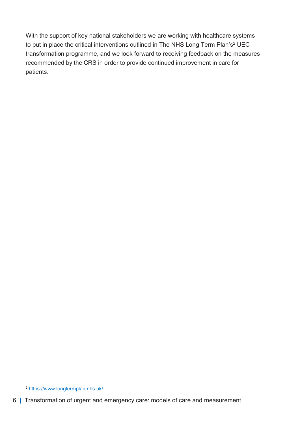With the support of key national stakeholders we are working with healthcare systems to put in place the critical interventions outlined in The NHS Long Term Plan's<sup>2</sup> UEC transformation programme, and we look forward to receiving feedback on the measures recommended by the CRS in order to provide continued improvement in care for patients.

<sup>2</sup> https://www.longtermplan.nhs.uk/

<sup>6</sup> | Transformation of urgent and emergency care: models of care and measurement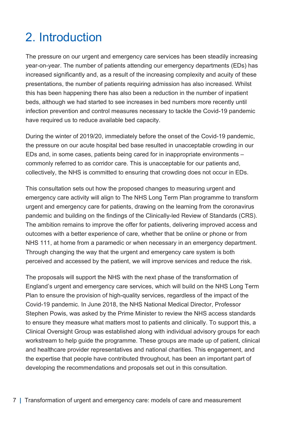### 2. Introduction

The pressure on our urgent and emergency care services has been steadily increasing year-on-year. The number of patients attending our emergency departments (EDs) has increased significantly and, as a result of the increasing complexity and acuity of these presentations, the number of patients requiring admission has also increased. Whilst this has been happening there has also been a reduction in the number of inpatient beds, although we had started to see increases in bed numbers more recently until infection prevention and control measures necessary to tackle the Covid-19 pandemic have required us to reduce available bed capacity.

During the winter of 2019/20, immediately before the onset of the Covid-19 pandemic, the pressure on our acute hospital bed base resulted in unacceptable crowding in our EDs and, in some cases, patients being cared for in inappropriate environments – commonly referred to as corridor care. This is unacceptable for our patients and, collectively, the NHS is committed to ensuring that crowding does not occur in EDs.

This consultation sets out how the proposed changes to measuring urgent and emergency care activity will align to The NHS Long Term Plan programme to transform urgent and emergency care for patients, drawing on the learning from the coronavirus pandemic and building on the findings of the Clinically-led Review of Standards (CRS). The ambition remains to improve the offer for patients, delivering improved access and outcomes with a better experience of care, whether that be online or phone or from NHS 111, at home from a paramedic or when necessary in an emergency department. Through changing the way that the urgent and emergency care system is both perceived and accessed by the patient, we will improve services and reduce the risk.

The proposals will support the NHS with the next phase of the transformation of England's urgent and emergency care services, which will build on the NHS Long Term Plan to ensure the provision of high-quality services, regardless of the impact of the Covid-19 pandemic. In June 2018, the NHS National Medical Director, Professor Stephen Powis, was asked by the Prime Minister to review the NHS access standards to ensure they measure what matters most to patients and clinically. To support this, a Clinical Oversight Group was established along with individual advisory groups for each workstream to help guide the programme. These groups are made up of patient, clinical and healthcare provider representatives and national charities. This engagement, and the expertise that people have contributed throughout, has been an important part of developing the recommendations and proposals set out in this consultation.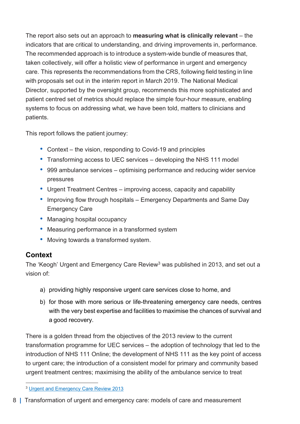The report also sets out an approach to **measuring what is clinically relevant** – the indicators that are critical to understanding, and driving improvements in, performance. The recommended approach is to introduce a system-wide bundle of measures that, taken collectively, will offer a holistic view of performance in urgent and emergency care. This represents the recommendations from the CRS, following field testing in line with proposals set out in the interim report in March 2019. The National Medical Director, supported by the oversight group, recommends this more sophisticated and patient centred set of metrics should replace the simple four-hour measure, enabling systems to focus on addressing what, we have been told, matters to clinicians and patients.

This report follows the patient journey:

- Context the vision, responding to Covid-19 and principles
- Transforming access to UEC services developing the NHS 111 model
- 999 ambulance services optimising performance and reducing wider service pressures
- Urgent Treatment Centres improving access, capacity and capability
- Improving flow through hospitals Emergency Departments and Same Day Emergency Care
- Managing hospital occupancy
- Measuring performance in a transformed system
- Moving towards a transformed system.

#### **Context**

The 'Keogh' Urgent and Emergency Care Review<sup>3</sup> was published in 2013, and set out a vision of:

- a) providing highly responsive urgent care services close to home, and
- b) for those with more serious or life-threatening emergency care needs, centres with the very best expertise and facilities to maximise the chances of survival and a good recovery.

There is a golden thread from the objectives of the 2013 review to the current transformation programme for UEC services – the adoption of technology that led to the introduction of NHS 111 Online; the development of NHS 111 as the key point of access to urgent care; the introduction of a consistent model for primary and community based urgent treatment centres; maximising the ability of the ambulance service to treat

<sup>3</sup> Urgent and Emergency Care Review 2013

<sup>8</sup> | Transformation of urgent and emergency care: models of care and measurement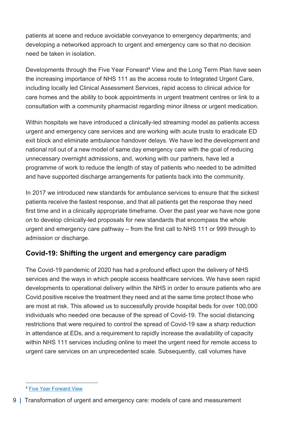patients at scene and reduce avoidable conveyance to emergency departments; and developing a networked approach to urgent and emergency care so that no decision need be taken in isolation.

Developments through the Five Year Forward<sup>4</sup> View and the Long Term Plan have seen the increasing importance of NHS 111 as the access route to Integrated Urgent Care, including locally led Clinical Assessment Services, rapid access to clinical advice for care homes and the ability to book appointments in urgent treatment centres or link to a consultation with a community pharmacist regarding minor illness or urgent medication.

Within hospitals we have introduced a clinically-led streaming model as patients access urgent and emergency care services and are working with acute trusts to eradicate ED exit block and eliminate ambulance handover delays. We have led the development and national roll out of a new model of same day emergency care with the goal of reducing unnecessary overnight admissions, and, working with our partners, have led a programme of work to reduce the length of stay of patients who needed to be admitted and have supported discharge arrangements for patients back into the community.

In 2017 we introduced new standards for ambulance services to ensure that the sickest patients receive the fastest response, and that all patients get the response they need first time and in a clinically appropriate timeframe. Over the past year we have now gone on to develop clinically-led proposals for new standards that encompass the whole urgent and emergency care pathway – from the first call to NHS 111 or 999 through to admission or discharge.

#### Covid-19: Shifting the urgent and emergency care paradigm

The Covid-19 pandemic of 2020 has had a profound effect upon the delivery of NHS services and the ways in which people access healthcare services. We have seen rapid developments to operational delivery within the NHS in order to ensure patients who are Covid positive receive the treatment they need and at the same time protect those who are most at risk. This allowed us to successfully provide hospital beds for over 100,000 individuals who needed one because of the spread of Covid-19. The social distancing restrictions that were required to control the spread of Covid-19 saw a sharp reduction in attendance at EDs, and a requirement to rapidly increase the availability of capacity within NHS 111 services including online to meet the urgent need for remote access to urgent care services on an unprecedented scale. Subsequently, call volumes have

<sup>4</sup> Five Year Forward View

<sup>9</sup> | Transformation of urgent and emergency care: models of care and measurement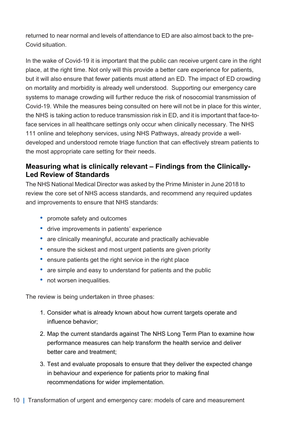returned to near normal and levels of attendance to ED are also almost back to the pre-Covid situation.

In the wake of Covid-19 it is important that the public can receive urgent care in the right place, at the right time. Not only will this provide a better care experience for patients, but it will also ensure that fewer patients must attend an ED. The impact of ED crowding on mortality and morbidity is already well understood. Supporting our emergency care systems to manage crowding will further reduce the risk of nosocomial transmission of Covid-19. While the measures being consulted on here will not be in place for this winter, the NHS is taking action to reduce transmission risk in ED, and it is important that face-toface services in all healthcare settings only occur when clinically necessary. The NHS 111 online and telephony services, using NHS Pathways, already provide a welldeveloped and understood remote triage function that can effectively stream patients to the most appropriate care setting for their needs.

#### Measuring what is clinically relevant – Findings from the Clinically-Led Review of Standards

The NHS National Medical Director was asked by the Prime Minister in June 2018 to review the core set of NHS access standards, and recommend any required updates and improvements to ensure that NHS standards:

- promote safety and outcomes
- drive improvements in patients' experience
- are clinically meaningful, accurate and practically achievable
- ensure the sickest and most urgent patients are given priority
- ensure patients get the right service in the right place
- are simple and easy to understand for patients and the public
- not worsen inequalities.

The review is being undertaken in three phases:

- 1. Consider what is already known about how current targets operate and influence behavior;
- 2. Map the current standards against The NHS Long Term Plan to examine how performance measures can help transform the health service and deliver better care and treatment;
- 3. Test and evaluate proposals to ensure that they deliver the expected change in behaviour and experience for patients prior to making final recommendations for wider implementation.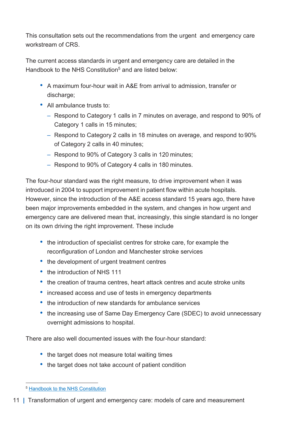This consultation sets out the recommendations from the urgent and emergency care workstream of CRS

The current access standards in urgent and emergency care are detailed in the Handbook to the NHS Constitution<sup>5</sup> and are listed below:

- A maximum four-hour wait in A&E from arrival to admission, transfer or discharge;
- All ambulance trusts to:
	- Respond to Category 1 calls in 7 minutes on average, and respond to 90% of Category 1 calls in 15 minutes;
	- Respond to Category 2 calls in 18 minutes on average, and respond to 90% of Category 2 calls in 40 minutes;
	- Respond to 90% of Category 3 calls in 120 minutes;
	- Respond to 90% of Category 4 calls in 180 minutes.

The four-hour standard was the right measure, to drive improvement when it was introduced in 2004 to support improvement in patient flow within acute hospitals. However, since the introduction of the A&E access standard 15 years ago, there have been major improvements embedded in the system, and changes in how urgent and emergency care are delivered mean that, increasingly, this single standard is no longer on its own driving the right improvement. These include

- the introduction of specialist centres for stroke care, for example the reconfiguration of London and Manchester stroke services
- the development of urgent treatment centres
- the introduction of NHS 111
- the creation of trauma centres, heart attack centres and acute stroke units
- increased access and use of tests in emergency departments
- the introduction of new standards for ambulance services
- the increasing use of Same Day Emergency Care (SDEC) to avoid unnecessary overnight admissions to hospital.

There are also well documented issues with the four-hour standard:

- the target does not measure total waiting times
- the target does not take account of patient condition

<sup>5</sup> Handbook to the NHS Constitution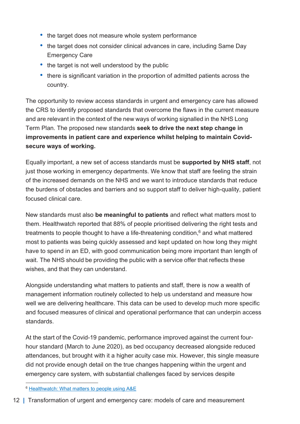- the target does not measure whole system performance
- the target does not consider clinical advances in care, including Same Day Emergency Care
- the target is not well understood by the public
- there is significant variation in the proportion of admitted patients across the country.

The opportunity to review access standards in urgent and emergency care has allowed the CRS to identify proposed standards that overcome the flaws in the current measure and are relevant in the context of the new ways of working signalled in the NHS Long Term Plan. The proposed new standards seek to drive the next step change in improvements in patient care and experience whilst helping to maintain Covidsecure ways of working.

Equally important, a new set of access standards must be supported by NHS staff, not just those working in emergency departments. We know that staff are feeling the strain of the increased demands on the NHS and we want to introduce standards that reduce the burdens of obstacles and barriers and so support staff to deliver high-quality, patient focused clinical care.

New standards must also be meaningful to patients and reflect what matters most to them. Healthwatch reported that 88% of people prioritised delivering the right tests and treatments to people thought to have a life-threatening condition, $6$  and what mattered most to patients was being quickly assessed and kept updated on how long they might have to spend in an ED, with good communication being more important than length of wait. The NHS should be providing the public with a service offer that reflects these wishes, and that they can understand.

Alongside understanding what matters to patients and staff, there is now a wealth of management information routinely collected to help us understand and measure how well we are delivering healthcare. This data can be used to develop much more specific and focused measures of clinical and operational performance that can underpin access standards.

At the start of the Covid-19 pandemic, performance improved against the current fourhour standard (March to June 2020), as bed occupancy decreased alongside reduced attendances, but brought with it a higher acuity case mix. However, this single measure did not provide enough detail on the true changes happening within the urgent and emergency care system, with substantial challenges faced by services despite

<sup>6</sup> Healthwatch: What matters to people using A&E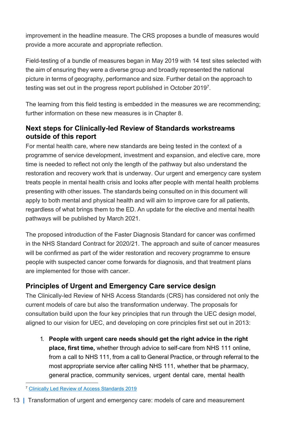improvement in the headline measure. The CRS proposes a bundle of measures would provide a more accurate and appropriate reflection.

Field-testing of a bundle of measures began in May 2019 with 14 test sites selected with the aim of ensuring they were a diverse group and broadly represented the national picture in terms of geography, performance and size. Further detail on the approach to testing was set out in the progress report published in October 2019<sup>7</sup>.

The learning from this field testing is embedded in the measures we are recommending; further information on these new measures is in Chapter 8.

#### Next steps for Clinically-led Review of Standards workstreams outside of this report

For mental health care, where new standards are being tested in the context of a programme of service development, investment and expansion, and elective care, more time is needed to reflect not only the length of the pathway but also understand the restoration and recovery work that is underway. Our urgent and emergency care system treats people in mental health crisis and looks after people with mental health problems presenting with other issues. The standards being consulted on in this document will apply to both mental and physical health and will aim to improve care for all patients, regardless of what brings them to the ED. An update for the elective and mental health pathways will be published by March 2021.

The proposed introduction of the Faster Diagnosis Standard for cancer was confirmed in the NHS Standard Contract for 2020/21. The approach and suite of cancer measures will be confirmed as part of the wider restoration and recovery programme to ensure people with suspected cancer come forwards for diagnosis, and that treatment plans are implemented for those with cancer.

#### Principles of Urgent and Emergency Care service design

The Clinically-led Review of NHS Access Standards (CRS) has considered not only the current models of care but also the transformation underway. The proposals for consultation build upon the four key principles that run through the UEC design model, aligned to our vision for UEC, and developing on core principles first set out in 2013:

1. People with urgent care needs should get the right advice in the right place, first time, whether through advice to self-care from NHS 111 online, from a call to NHS 111, from a call to General Practice, or through referral to the most appropriate service after calling NHS 111, whether that be pharmacy, general practice, community services, urgent dental care, mental health

<sup>7</sup> Clinically Led Review of Access Standards 2019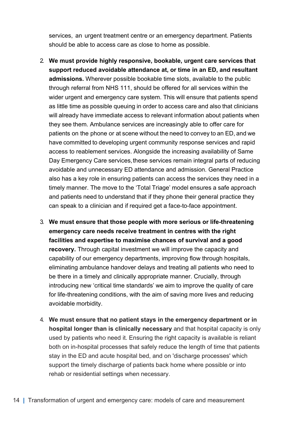services, an urgent treatment centre or an emergency department. Patients should be able to access care as close to home as possible.

- 2. We must provide highly responsive, bookable, urgent care services that support reduced avoidable attendance at, or time in an ED, and resultant admissions. Wherever possible bookable time slots, available to the public through referral from NHS 111, should be offered for all services within the wider urgent and emergency care system. This will ensure that patients spend as little time as possible queuing in order to access care and also that clinicians will already have immediate access to relevant information about patients when they see them. Ambulance services are increasingly able to offer care for patients on the phone or at scene without the need to convey to an ED, and we have committed to developing urgent community response services and rapid access to reablement services. Alongside the increasing availability of Same Day Emergency Care services, these services remain integral parts of reducing avoidable and unnecessary ED attendance and admission. General Practice also has a key role in ensuring patients can access the services they need in a timely manner. The move to the 'Total Triage' model ensures a safe approach and patients need to understand that if they phone their general practice they can speak to a clinician and if required get a face-to-face appointment.
- 3. We must ensure that those people with more serious or life-threatening emergency care needs receive treatment in centres with the right facilities and expertise to maximise chances of survival and a good recovery. Through capital investment we will improve the capacity and capability of our emergency departments, improving flow through hospitals, eliminating ambulance handover delays and treating all patients who need to be there in a timely and clinically appropriate manner. Crucially, through introducing new 'critical time standards' we aim to improve the quality of care for life-threatening conditions, with the aim of saving more lives and reducing avoidable morbidity.
- 4. We must ensure that no patient stays in the emergency department or in hospital longer than is clinically necessary and that hospital capacity is only used by patients who need it. Ensuring the right capacity is available is reliant both on in-hospital processes that safely reduce the length of time that patients stay in the ED and acute hospital bed, and on 'discharge processes' which support the timely discharge of patients back home where possible or into rehab or residential settings when necessary.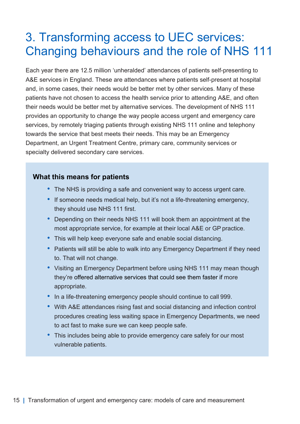### 3. Transforming access to UEC services: Changing behaviours and the role of NHS 111

Each year there are 12.5 million 'unheralded' attendances of patients self-presenting to A&E services in England. These are attendances where patients self-present at hospital and, in some cases, their needs would be better met by other services. Many of these patients have not chosen to access the health service prior to attending A&E, and often their needs would be better met by alternative services. The development of NHS 111 provides an opportunity to change the way people access urgent and emergency care services, by remotely triaging patients through existing NHS 111 online and telephony towards the service that best meets their needs. This may be an Emergency Department, an Urgent Treatment Centre, primary care, community services or specialty delivered secondary care services.

#### What this means for patients

- The NHS is providing a safe and convenient way to access urgent care.
- If someone needs medical help, but it's not a life-threatening emergency, they should use NHS 111 first.
- Depending on their needs NHS 111 will book them an appointment at the most appropriate service, for example at their local A&E or GP practice.
- This will help keep everyone safe and enable social distancing.
- Patients will still be able to walk into any Emergency Department if they need to. That will not change.
- Visiting an Emergency Department before using NHS 111 may mean though they're offered alternative services that could see them faster if more appropriate.
- In a life-threatening emergency people should continue to call 999.
- With A&E attendances rising fast and social distancing and infection control procedures creating less waiting space in Emergency Departments, we need to act fast to make sure we can keep people safe.
- This includes being able to provide emergency care safely for our most vulnerable patients.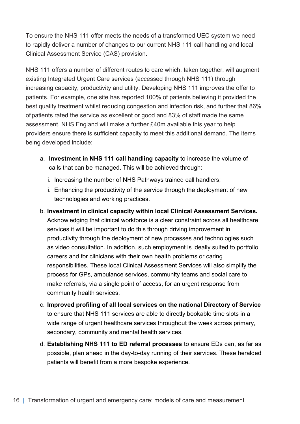To ensure the NHS 111 offer meets the needs of a transformed UEC system we need to rapidly deliver a number of changes to our current NHS 111 call handling and local Clinical Assessment Service (CAS) provision.

NHS 111 offers a number of different routes to care which, taken together, will augment existing Integrated Urgent Care services (accessed through NHS 111) through increasing capacity, productivity and utility. Developing NHS 111 improves the offer to patients. For example, one site has reported 100% of patients believing it provided the best quality treatment whilst reducing congestion and infection risk, and further that 86% of patients rated the service as excellent or good and 83% of staff made the same assessment. NHS England will make a further £40m available this year to help providers ensure there is sufficient capacity to meet this additional demand. The items being developed include:

- a. Investment in NHS 111 call handling capacity to increase the volume of calls that can be managed. This will be achieved through:
	- i. Increasing the number of NHS Pathways trained call handlers;
	- ii. Enhancing the productivity of the service through the deployment of new technologies and working practices.
- b. Investment in clinical capacity within local Clinical Assessment Services. Acknowledging that clinical workforce is a clear constraint across all healthcare services it will be important to do this through driving improvement in productivity through the deployment of new processes and technologies such as video consultation. In addition, such employment is ideally suited to portfolio careers and for clinicians with their own health problems or caring responsibilities. These local Clinical Assessment Services will also simplify the process for GPs, ambulance services, community teams and social care to make referrals, via a single point of access, for an urgent response from community health services.
- c. Improved profiling of all local services on the national Directory of Service to ensure that NHS 111 services are able to directly bookable time slots in a wide range of urgent healthcare services throughout the week across primary, secondary, community and mental health services.
- d. Establishing NHS 111 to ED referral processes to ensure EDs can, as far as possible, plan ahead in the day-to-day running of their services. These heralded patients will benefit from a more bespoke experience.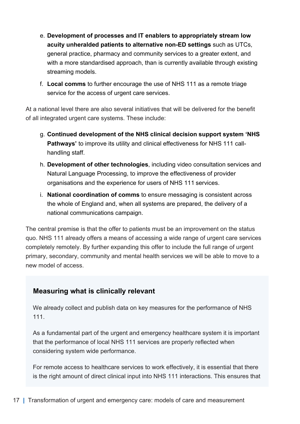- e. Development of processes and IT enablers to appropriately stream low acuity unheralded patients to alternative non-ED settings such as UTCs, general practice, pharmacy and community services to a greater extent, and with a more standardised approach, than is currently available through existing streaming models.
- f. Local comms to further encourage the use of NHS 111 as a remote triage service for the access of urgent care services.

At a national level there are also several initiatives that will be delivered for the benefit of all integrated urgent care systems. These include:

- g. Continued development of the NHS clinical decision support system 'NHS Pathways' to improve its utility and clinical effectiveness for NHS 111 callhandling staff.
- h. Development of other technologies, including video consultation services and Natural Language Processing, to improve the effectiveness of provider organisations and the experience for users of NHS 111 services.
- i. National coordination of comms to ensure messaging is consistent across the whole of England and, when all systems are prepared, the delivery of a national communications campaign.

The central premise is that the offer to patients must be an improvement on the status quo. NHS 111 already offers a means of accessing a wide range of urgent care services completely remotely. By further expanding this offer to include the full range of urgent primary, secondary, community and mental health services we will be able to move to a new model of access.

#### Measuring what is clinically relevant

We already collect and publish data on key measures for the performance of NHS 111.

As a fundamental part of the urgent and emergency healthcare system it is important that the performance of local NHS 111 services are properly reflected when considering system wide performance.

For remote access to healthcare services to work effectively, it is essential that there is the right amount of direct clinical input into NHS 111 interactions. This ensures that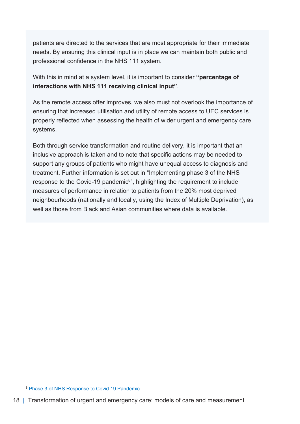patients are directed to the services that are most appropriate for their immediate needs. By ensuring this clinical input is in place we can maintain both public and professional confidence in the NHS 111 system.

With this in mind at a system level, it is important to consider "**percentage of** interactions with NHS 111 receiving clinical input".

As the remote access offer improves, we also must not overlook the importance of ensuring that increased utilisation and utility of remote access to UEC services is properly reflected when assessing the health of wider urgent and emergency care systems.

Both through service transformation and routine delivery, it is important that an inclusive approach is taken and to note that specific actions may be needed to support any groups of patients who might have unequal access to diagnosis and treatment. Further information is set out in "Implementing phase 3 of the NHS response to the Covid-19 pandemic<sup>8</sup>", highlighting the requirement to include measures of performance in relation to patients from the 20% most deprived neighbourhoods (nationally and locally, using the Index of Multiple Deprivation), as well as those from Black and Asian communities where data is available.

<sup>8</sup> Phase 3 of NHS Response to Covid 19 Pandemic

<sup>18 |</sup> Transformation of urgent and emergency care: models of care and measurement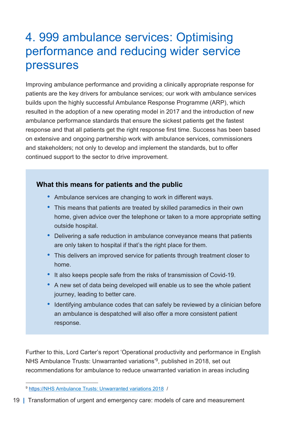### 4. 999 ambulance services: Optimising performance and reducing wider service pressures

Improving ambulance performance and providing a clinically appropriate response for patients are the key drivers for ambulance services; our work with ambulance services builds upon the highly successful Ambulance Response Programme (ARP), which resulted in the adoption of a new operating model in 2017 and the introduction of new ambulance performance standards that ensure the sickest patients get the fastest response and that all patients get the right response first time. Success has been based on extensive and ongoing partnership work with ambulance services, commissioners and stakeholders; not only to develop and implement the standards, but to offer continued support to the sector to drive improvement.

#### What this means for patients and the public

- Ambulance services are changing to work in different ways.
- This means that patients are treated by skilled paramedics in their own home, given advice over the telephone or taken to a more appropriate setting outside hospital.
- Delivering a safe reduction in ambulance conveyance means that patients are only taken to hospital if that's the right place for them.
- This delivers an improved service for patients through treatment closer to home.
- It also keeps people safe from the risks of transmission of Covid-19.
- A new set of data being developed will enable us to see the whole patient journey, leading to better care.
- Identifying ambulance codes that can safely be reviewed by a clinician before an ambulance is despatched will also offer a more consistent patient response.

Further to this, Lord Carter's report 'Operational productivity and performance in English NHS Ambulance Trusts: Unwarranted variations<sup>'9</sup>, published in 2018, set out recommendations for ambulance to reduce unwarranted variation in areas including

<sup>9</sup> https://NHS Ambulance Trusts: Unwarranted variations 2018 /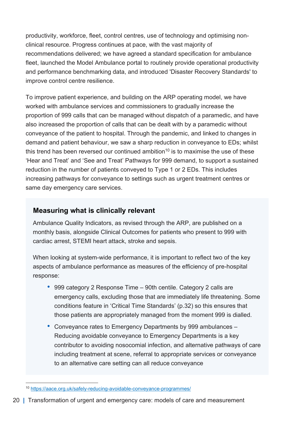productivity, workforce, fleet, control centres, use of technology and optimising nonclinical resource. Progress continues at pace, with the vast majority of recommendations delivered; we have agreed a standard specification for ambulance fleet, launched the Model Ambulance portal to routinely provide operational productivity and performance benchmarking data, and introduced 'Disaster Recovery Standards' to improve control centre resilience.

To improve patient experience, and building on the ARP operating model, we have worked with ambulance services and commissioners to gradually increase the proportion of 999 calls that can be managed without dispatch of a paramedic, and have also increased the proportion of calls that can be dealt with by a paramedic without conveyance of the patient to hospital. Through the pandemic, and linked to changes in demand and patient behaviour, we saw a sharp reduction in conveyance to EDs; whilst this trend has been reversed our continued ambition<sup>10</sup> is to maximise the use of these 'Hear and Treat' and 'See and Treat' Pathways for 999 demand, to support a sustained reduction in the number of patients conveyed to Type 1 or 2 EDs. This includes increasing pathways for conveyance to settings such as urgent treatment centres or same day emergency care services.

#### Measuring what is clinically relevant

Ambulance Quality Indicators, as revised through the ARP, are published on a monthly basis, alongside Clinical Outcomes for patients who present to 999 with cardiac arrest, STEMI heart attack, stroke and sepsis.

When looking at system-wide performance, it is important to reflect two of the key aspects of ambulance performance as measures of the efficiency of pre-hospital response:

- 999 category 2 Response Time 90th centile. Category 2 calls are emergency calls, excluding those that are immediately life threatening. Some conditions feature in 'Critical Time Standards' (p.32) so this ensures that those patients are appropriately managed from the moment 999 is dialled.
- Conveyance rates to Emergency Departments by 999 ambulances Reducing avoidable conveyance to Emergency Departments is a key contributor to avoiding nosocomial infection, and alternative pathways of care including treatment at scene, referral to appropriate services or conveyance to an alternative care setting can all reduce conveyance

20 | Transformation of urgent and emergency care: models of care and measurement

<sup>10</sup> https://aace.org.uk/safely-reducing-avoidable-conveyance-programmes/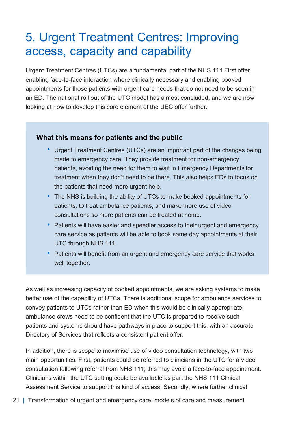### 5. Urgent Treatment Centres: Improving access, capacity and capability

Urgent Treatment Centres (UTCs) are a fundamental part of the NHS 111 First offer, enabling face-to-face interaction where clinically necessary and enabling booked appointments for those patients with urgent care needs that do not need to be seen in an ED. The national roll out of the UTC model has almost concluded, and we are now looking at how to develop this core element of the UEC offer further.

#### What this means for patients and the public

- Urgent Treatment Centres (UTCs) are an important part of the changes being made to emergency care. They provide treatment for non-emergency patients, avoiding the need for them to wait in Emergency Departments for treatment when they don't need to be there. This also helps EDs to focus on the patients that need more urgent help.
- The NHS is building the ability of UTCs to make booked appointments for patients, to treat ambulance patients, and make more use of video consultations so more patients can be treated at home.
- Patients will have easier and speedier access to their urgent and emergency care service as patients will be able to book same day appointments at their UTC through NHS 111.
- Patients will benefit from an urgent and emergency care service that works well together.

As well as increasing capacity of booked appointments, we are asking systems to make better use of the capability of UTCs. There is additional scope for ambulance services to convey patients to UTCs rather than ED when this would be clinically appropriate; ambulance crews need to be confident that the UTC is prepared to receive such patients and systems should have pathways in place to support this, with an accurate Directory of Services that reflects a consistent patient offer.

In addition, there is scope to maximise use of video consultation technology, with two main opportunities. First, patients could be referred to clinicians in the UTC for a video consultation following referral from NHS 111; this may avoid a face-to-face appointment. Clinicians within the UTC setting could be available as part the NHS 111 Clinical Assessment Service to support this kind of access. Secondly, where further clinical

21 | Transformation of urgent and emergency care: models of care and measurement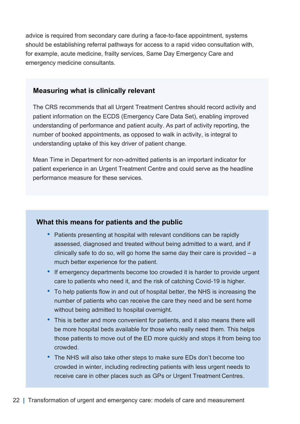advice is required from secondary care during a face-to-face appointment, systems should be establishing referral pathways for access to a rapid video consultation with, for example, acute medicine, frailty services, Same Day Emergency Care and emergency medicine consultants.

#### Measuring what is clinically relevant

The CRS recommends that all Urgent Treatment Centres should record activity and patient information on the ECDS (Emergency Care Data Set), enabling improved understanding of performance and patient acuity. As part of activity reporting, the number of booked appointments, as opposed to walk in activity, is integral to understanding uptake of this key driver of patient change.

Mean Time in Department for non-admitted patients is an important indicator for patient experience in an Urgent Treatment Centre and could serve as the headline performance measure for these services.

#### What this means for patients and the public

- Patients presenting at hospital with relevant conditions can be rapidly assessed, diagnosed and treated without being admitted to a ward, and if clinically safe to do so, will go home the same day their care is provided  $-$  a much better experience for the patient.
- If emergency departments become too crowded it is harder to provide urgent care to patients who need it, and the risk of catching Covid-19 is higher.
- To help patients flow in and out of hospital better, the NHS is increasing the number of patients who can receive the care they need and be sent home without being admitted to hospital overnight.
- This is better and more convenient for patients, and it also means there will be more hospital beds available for those who really need them. This helps those patients to move out of the ED more quickly and stops it from being too crowded.
- The NHS will also take other steps to make sure EDs don't become too crowded in winter, including redirecting patients with less urgent needs to receive care in other places such as GPs or Urgent Treatment Centres.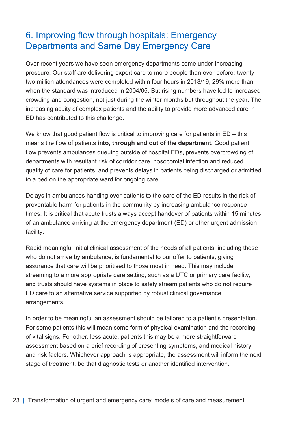### 6. Improving flow through hospitals: Emergency Departments and Same Day Emergency Care

Over recent years we have seen emergency departments come under increasing pressure. Our staff are delivering expert care to more people than ever before: twentytwo million attendances were completed within four hours in 2018/19, 29% more than when the standard was introduced in 2004/05. But rising numbers have led to increased crowding and congestion, not just during the winter months but throughout the year. The increasing acuity of complex patients and the ability to provide more advanced care in ED has contributed to this challenge.

We know that good patient flow is critical to improving care for patients in ED – this means the flow of patients into, through and out of the department. Good patient flow prevents ambulances queuing outside of hospital EDs, prevents overcrowding of departments with resultant risk of corridor care, nosocomial infection and reduced quality of care for patients, and prevents delays in patients being discharged or admitted to a bed on the appropriate ward for ongoing care.

Delays in ambulances handing over patients to the care of the ED results in the risk of preventable harm for patients in the community by increasing ambulance response times. It is critical that acute trusts always accept handover of patients within 15 minutes of an ambulance arriving at the emergency department (ED) or other urgent admission facility.

Rapid meaningful initial clinical assessment of the needs of all patients, including those who do not arrive by ambulance, is fundamental to our offer to patients, giving assurance that care will be prioritised to those most in need. This may include streaming to a more appropriate care setting, such as a UTC or primary care facility, and trusts should have systems in place to safely stream patients who do not require ED care to an alternative service supported by robust clinical governance arrangements.

In order to be meaningful an assessment should be tailored to a patient's presentation. For some patients this will mean some form of physical examination and the recording of vital signs. For other, less acute, patients this may be a more straightforward assessment based on a brief recording of presenting symptoms, and medical history and risk factors. Whichever approach is appropriate, the assessment will inform the next stage of treatment, be that diagnostic tests or another identified intervention.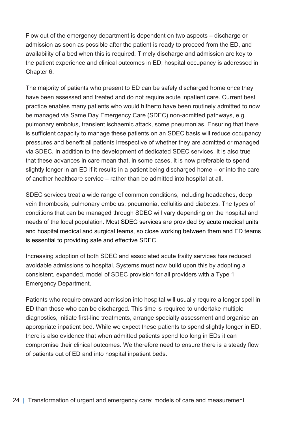Flow out of the emergency department is dependent on two aspects – discharge or admission as soon as possible after the patient is ready to proceed from the ED, and availability of a bed when this is required. Timely discharge and admission are key to the patient experience and clinical outcomes in ED; hospital occupancy is addressed in Chapter 6.

The majority of patients who present to ED can be safely discharged home once they have been assessed and treated and do not require acute inpatient care. Current best practice enables many patients who would hitherto have been routinely admitted to now be managed via Same Day Emergency Care (SDEC) non-admitted pathways, e.g. pulmonary embolus, transient ischaemic attack, some pneumonias. Ensuring that there is sufficient capacity to manage these patients on an SDEC basis will reduce occupancy pressures and benefit all patients irrespective of whether they are admitted or managed via SDEC. In addition to the development of dedicated SDEC services, it is also true that these advances in care mean that, in some cases, it is now preferable to spend slightly longer in an ED if it results in a patient being discharged home – or into the care of another healthcare service – rather than be admitted into hospital at all.

SDEC services treat a wide range of common conditions, including headaches, deep vein thrombosis, pulmonary embolus, pneumonia, cellulitis and diabetes. The types of conditions that can be managed through SDEC will vary depending on the hospital and needs of the local population. Most SDEC services are provided by acute medical units and hospital medical and surgical teams, so close working between them and ED teams is essential to providing safe and effective SDEC.

Increasing adoption of both SDEC and associated acute frailty services has reduced avoidable admissions to hospital. Systems must now build upon this by adopting a consistent, expanded, model of SDEC provision for all providers with a Type 1 Emergency Department.

Patients who require onward admission into hospital will usually require a longer spell in ED than those who can be discharged. This time is required to undertake multiple diagnostics, initiate first-line treatments, arrange specialty assessment and organise an appropriate inpatient bed. While we expect these patients to spend slightly longer in ED, there is also evidence that when admitted patients spend too long in EDs it can compromise their clinical outcomes. We therefore need to ensure there is a steady flow of patients out of ED and into hospital inpatient beds.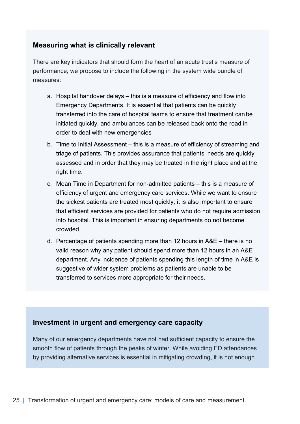#### Measuring what is clinically relevant

There are key indicators that should form the heart of an acute trust's measure of performance; we propose to include the following in the system wide bundle of measures:

- a. Hospital handover delays this is a measure of efficiency and flow into Emergency Departments. It is essential that patients can be quickly transferred into the care of hospital teams to ensure that treatment can be initiated quickly, and ambulances can be released back onto the road in order to deal with new emergencies
- b. Time to Initial Assessment this is a measure of efficiency of streaming and triage of patients. This provides assurance that patients' needs are quickly assessed and in order that they may be treated in the right place and at the right time.
- c. Mean Time in Department for non-admitted patients this is a measure of efficiency of urgent and emergency care services. While we want to ensure the sickest patients are treated most quickly, it is also important to ensure that efficient services are provided for patients who do not require admission into hospital. This is important in ensuring departments do not become crowded.
- d. Percentage of patients spending more than 12 hours in A&E there is no valid reason why any patient should spend more than 12 hours in an A&E department. Any incidence of patients spending this length of time in A&E is suggestive of wider system problems as patients are unable to be transferred to services more appropriate for their needs.

#### Investment in urgent and emergency care capacity

Many of our emergency departments have not had sufficient capacity to ensure the smooth flow of patients through the peaks of winter. While avoiding ED attendances by providing alternative services is essential in mitigating crowding, it is not enough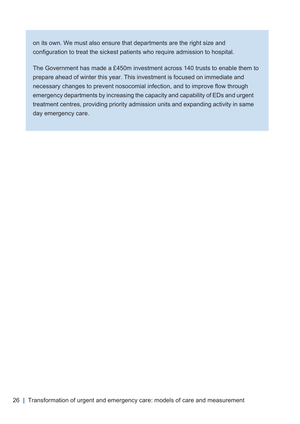on its own. We must also ensure that departments are the right size and configuration to treat the sickest patients who require admission to hospital.

The Government has made a £450m investment across 140 trusts to enable them to prepare ahead of winter this year. This investment is focused on immediate and necessary changes to prevent nosocomial infection, and to improve flow through emergency departments by increasing the capacity and capability of EDs and urgent treatment centres, providing priority admission units and expanding activity in same day emergency care.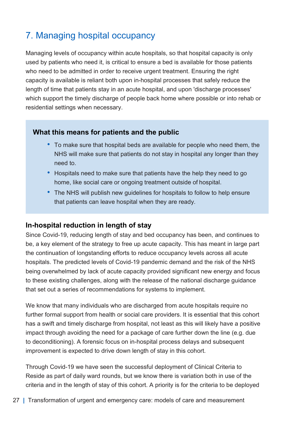### 7. Managing hospital occupancy

Managing levels of occupancy within acute hospitals, so that hospital capacity is only used by patients who need it, is critical to ensure a bed is available for those patients who need to be admitted in order to receive urgent treatment. Ensuring the right capacity is available is reliant both upon in-hospital processes that safely reduce the length of time that patients stay in an acute hospital, and upon 'discharge processes' which support the timely discharge of people back home where possible or into rehab or residential settings when necessary.

#### What this means for patients and the public

- To make sure that hospital beds are available for people who need them, the NHS will make sure that patients do not stay in hospital any longer than they need to.
- Hospitals need to make sure that patients have the help they need to go home, like social care or ongoing treatment outside of hospital.
- The NHS will publish new guidelines for hospitals to follow to help ensure that patients can leave hospital when they are ready.

#### In-hospital reduction in length of stay

Since Covid-19, reducing length of stay and bed occupancy has been, and continues to be, a key element of the strategy to free up acute capacity. This has meant in large part the continuation of longstanding efforts to reduce occupancy levels across all acute hospitals. The predicted levels of Covid-19 pandemic demand and the risk of the NHS being overwhelmed by lack of acute capacity provided significant new energy and focus to these existing challenges, along with the release of the national discharge guidance that set out a series of recommendations for systems to implement.

We know that many individuals who are discharged from acute hospitals require no further formal support from health or social care providers. It is essential that this cohort has a swift and timely discharge from hospital, not least as this will likely have a positive impact through avoiding the need for a package of care further down the line (e.g. due to deconditioning). A forensic focus on in-hospital process delays and subsequent improvement is expected to drive down length of stay in this cohort.

Through Covid-19 we have seen the successful deployment of Clinical Criteria to Reside as part of daily ward rounds, but we know there is variation both in use of the criteria and in the length of stay of this cohort. A priority is for the criteria to be deployed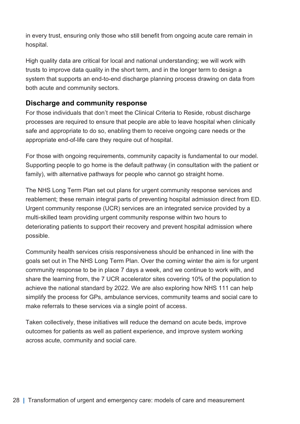in every trust, ensuring only those who still benefit from ongoing acute care remain in hospital.

High quality data are critical for local and national understanding; we will work with trusts to improve data quality in the short term, and in the longer term to design a system that supports an end-to-end discharge planning process drawing on data from both acute and community sectors.

#### Discharge and community response

For those individuals that don't meet the Clinical Criteria to Reside, robust discharge processes are required to ensure that people are able to leave hospital when clinically safe and appropriate to do so, enabling them to receive ongoing care needs or the appropriate end-of-life care they require out of hospital.

For those with ongoing requirements, community capacity is fundamental to our model. Supporting people to go home is the default pathway (in consultation with the patient or family), with alternative pathways for people who cannot go straight home.

The NHS Long Term Plan set out plans for urgent community response services and reablement; these remain integral parts of preventing hospital admission direct from ED. Urgent community response (UCR) services are an integrated service provided by a multi-skilled team providing urgent community response within two hours to deteriorating patients to support their recovery and prevent hospital admission where possible.

Community health services crisis responsiveness should be enhanced in line with the goals set out in The NHS Long Term Plan. Over the coming winter the aim is for urgent community response to be in place 7 days a week, and we continue to work with, and share the learning from, the 7 UCR accelerator sites covering 10% of the population to achieve the national standard by 2022. We are also exploring how NHS 111 can help simplify the process for GPs, ambulance services, community teams and social care to make referrals to these services via a single point of access.

Taken collectively, these initiatives will reduce the demand on acute beds, improve outcomes for patients as well as patient experience, and improve system working across acute, community and social care.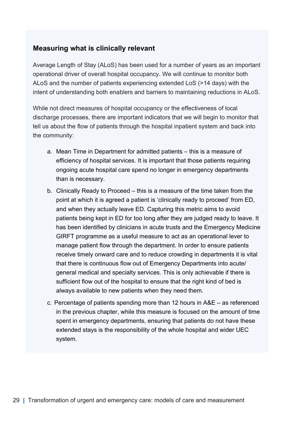#### Measuring what is clinically relevant

Average Length of Stay (ALoS) has been used for a number of years as an important operational driver of overall hospital occupancy. We will continue to monitor both ALoS and the number of patients experiencing extended LoS (>14 days) with the intent of understanding both enablers and barriers to maintaining reductions in ALoS.

While not direct measures of hospital occupancy or the effectiveness of local discharge processes, there are important indicators that we will begin to monitor that tell us about the flow of patients through the hospital inpatient system and back into the community:

- a. Mean Time in Department for admitted patients this is a measure of efficiency of hospital services. It is important that those patients requiring ongoing acute hospital care spend no longer in emergency departments than is necessary.
- b. Clinically Ready to Proceed this is a measure of the time taken from the point at which it is agreed a patient is 'clinically ready to proceed' from ED, and when they actually leave ED. Capturing this metric aims to avoid patients being kept in ED for too long after they are judged ready to leave. It has been identified by clinicians in acute trusts and the Emergency Medicine GIRFT programme as a useful measure to act as an operational lever to manage patient flow through the department. In order to ensure patients receive timely onward care and to reduce crowding in departments it is vital that there is continuous flow out of Emergency Departments into acute/ general medical and specialty services. This is only achievable if there is sufficient flow out of the hospital to ensure that the right kind of bed is always available to new patients when they need them.
- c. Percentage of patients spending more than 12 hours in A&E as referenced in the previous chapter, while this measure is focused on the amount of time spent in emergency departments, ensuring that patients do not have these extended stays is the responsibility of the whole hospital and wider UEC system.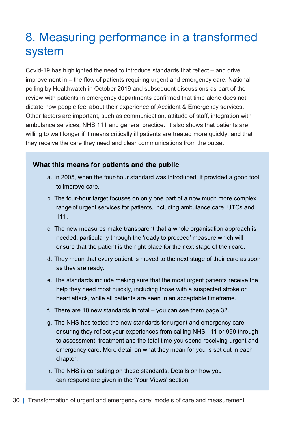### 8. Measuring performance in a transformed system

Covid-19 has highlighted the need to introduce standards that reflect – and drive improvement in – the flow of patients requiring urgent and emergency care. National polling by Healthwatch in October 2019 and subsequent discussions as part of the review with patients in emergency departments confirmed that time alone does not dictate how people feel about their experience of Accident & Emergency services.  Other factors are important, such as communication, attitude of staff, integration with ambulance services, NHS 111 and general practice.  It also shows that patients are willing to wait longer if it means critically ill patients are treated more quickly, and that they receive the care they need and clear communications from the outset.

#### What this means for patients and the public

- a. In 2005, when the four-hour standard was introduced, it provided a good tool to improve care.
- b. The four-hour target focuses on only one part of a now much more complex range of urgent services for patients, including ambulance care, UTCs and 111.
- c. The new measures make transparent that a whole organisation approach is needed, particularly through the 'ready to proceed' measure which will ensure that the patient is the right place for the next stage of their care.
- d. They mean that every patient is moved to the next stage of their care as soon as they are ready.
- e. The standards include making sure that the most urgent patients receive the help they need most quickly, including those with a suspected stroke or heart attack, while all patients are seen in an acceptable timeframe.
- f. There are 10 new standards in total you can see them page 32.
- g. The NHS has tested the new standards for urgent and emergency care, ensuring they reflect your experiences from calling NHS 111 or 999 through to assessment, treatment and the total time you spend receiving urgent and emergency care. More detail on what they mean for you is set out in each chapter.
- h. The NHS is consulting on these standards. Details on how you can respond are given in the 'Your Views' section.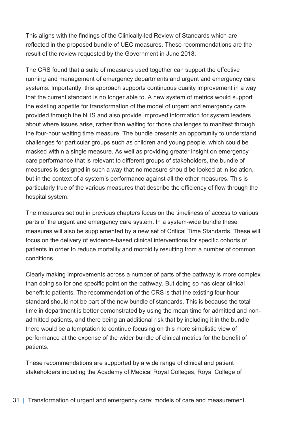This aligns with the findings of the Clinically-led Review of Standards which are reflected in the proposed bundle of UEC measures. These recommendations are the result of the review requested by the Government in June 2018.

The CRS found that a suite of measures used together can support the effective running and management of emergency departments and urgent and emergency care systems. Importantly, this approach supports continuous quality improvement in a way that the current standard is no longer able to. A new system of metrics would support the existing appetite for transformation of the model of urgent and emergency care provided through the NHS and also provide improved information for system leaders about where issues arise, rather than waiting for those challenges to manifest through the four-hour waiting time measure. The bundle presents an opportunity to understand challenges for particular groups such as children and young people, which could be masked within a single measure. As well as providing greater insight on emergency care performance that is relevant to different groups of stakeholders, the bundle of measures is designed in such a way that no measure should be looked at in isolation, but in the context of a system's performance against all the other measures. This is particularly true of the various measures that describe the efficiency of flow through the hospital system.

The measures set out in previous chapters focus on the timeliness of access to various parts of the urgent and emergency care system. In a system-wide bundle these measures will also be supplemented by a new set of Critical Time Standards. These will focus on the delivery of evidence-based clinical interventions for specific cohorts of patients in order to reduce mortality and morbidity resulting from a number of common conditions.

Clearly making improvements across a number of parts of the pathway is more complex than doing so for one specific point on the pathway. But doing so has clear clinical benefit to patients. The recommendation of the CRS is that the existing four-hour standard should not be part of the new bundle of standards. This is because the total time in department is better demonstrated by using the mean time for admitted and nonadmitted patients, and there being an additional risk that by including it in the bundle there would be a temptation to continue focusing on this more simplistic view of performance at the expense of the wider bundle of clinical metrics for the benefit of patients.

These recommendations are supported by a wide range of clinical and patient stakeholders including the Academy of Medical Royal Colleges, Royal College of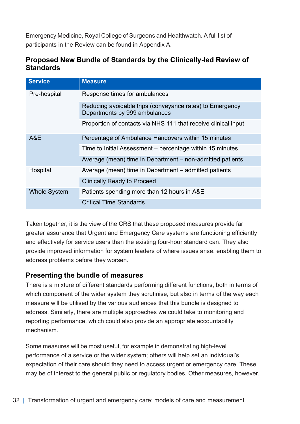Emergency Medicine, Royal College of Surgeons and Healthwatch. A full list of participants in the Review can be found in Appendix A.

#### Proposed New Bundle of Standards by the Clinically-led Review of **Standards**

| <b>Service</b>      | <b>Measure</b>                                                                            |
|---------------------|-------------------------------------------------------------------------------------------|
| Pre-hospital        | Response times for ambulances                                                             |
|                     | Reducing avoidable trips (conveyance rates) to Emergency<br>Departments by 999 ambulances |
|                     | Proportion of contacts via NHS 111 that receive clinical input                            |
| A&E                 | Percentage of Ambulance Handovers within 15 minutes                                       |
|                     | Time to Initial Assessment - percentage within 15 minutes                                 |
|                     | Average (mean) time in Department – non-admitted patients                                 |
| Hospital            | Average (mean) time in Department - admitted patients                                     |
|                     | <b>Clinically Ready to Proceed</b>                                                        |
| <b>Whole System</b> | Patients spending more than 12 hours in A&E                                               |
|                     | <b>Critical Time Standards</b>                                                            |

Taken together, it is the view of the CRS that these proposed measures provide far greater assurance that Urgent and Emergency Care systems are functioning efficiently and effectively for service users than the existing four-hour standard can. They also provide improved information for system leaders of where issues arise, enabling them to address problems before they worsen.

#### Presenting the bundle of measures

There is a mixture of different standards performing different functions, both in terms of which component of the wider system they scrutinise, but also in terms of the way each measure will be utilised by the various audiences that this bundle is designed to address. Similarly, there are multiple approaches we could take to monitoring and reporting performance, which could also provide an appropriate accountability mechanism.

Some measures will be most useful, for example in demonstrating high-level performance of a service or the wider system; others will help set an individual's expectation of their care should they need to access urgent or emergency care. These may be of interest to the general public or regulatory bodies. Other measures, however,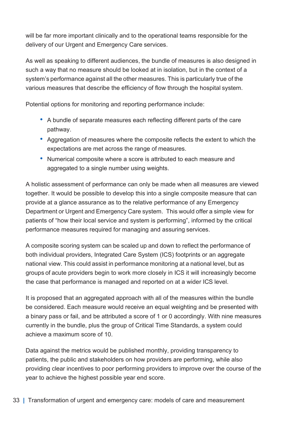will be far more important clinically and to the operational teams responsible for the delivery of our Urgent and Emergency Care services.

As well as speaking to different audiences, the bundle of measures is also designed in such a way that no measure should be looked at in isolation, but in the context of a system's performance against all the other measures. This is particularly true of the various measures that describe the efficiency of flow through the hospital system.

Potential options for monitoring and reporting performance include:

- A bundle of separate measures each reflecting different parts of the care pathway.
- Aggregation of measures where the composite reflects the extent to which the expectations are met across the range of measures.
- Numerical composite where a score is attributed to each measure and aggregated to a single number using weights.

A holistic assessment of performance can only be made when all measures are viewed together. It would be possible to develop this into a single composite measure that can provide at a glance assurance as to the relative performance of any Emergency Department or Urgent and Emergency Care system. This would offer a simple view for patients of "how their local service and system is performing", informed by the critical performance measures required for managing and assuring services.

A composite scoring system can be scaled up and down to reflect the performance of both individual providers, Integrated Care System (ICS) footprints or an aggregate national view. This could assist in performance monitoring at a national level, but as groups of acute providers begin to work more closely in ICS it will increasingly become the case that performance is managed and reported on at a wider ICS level.

It is proposed that an aggregated approach with all of the measures within the bundle be considered. Each measure would receive an equal weighting and be presented with a binary pass or fail, and be attributed a score of 1 or 0 accordingly. With nine measures currently in the bundle, plus the group of Critical Time Standards, a system could achieve a maximum score of 10.

Data against the metrics would be published monthly, providing transparency to patients, the public and stakeholders on how providers are performing, while also providing clear incentives to poor performing providers to improve over the course of the year to achieve the highest possible year end score.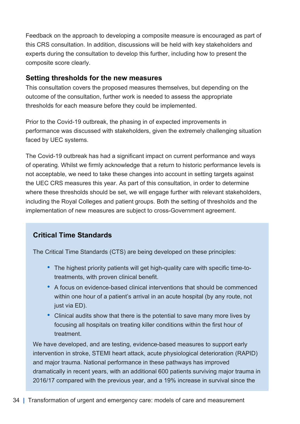Feedback on the approach to developing a composite measure is encouraged as part of this CRS consultation. In addition, discussions will be held with key stakeholders and experts during the consultation to develop this further, including how to present the composite score clearly.

#### Setting thresholds for the new measures

This consultation covers the proposed measures themselves, but depending on the outcome of the consultation, further work is needed to assess the appropriate thresholds for each measure before they could be implemented.

Prior to the Covid-19 outbreak, the phasing in of expected improvements in performance was discussed with stakeholders, given the extremely challenging situation faced by UEC systems.

The Covid-19 outbreak has had a significant impact on current performance and ways of operating. Whilst we firmly acknowledge that a return to historic performance levels is not acceptable, we need to take these changes into account in setting targets against the UEC CRS measures this year. As part of this consultation, in order to determine where these thresholds should be set, we will engage further with relevant stakeholders, including the Royal Colleges and patient groups. Both the setting of thresholds and the implementation of new measures are subject to cross-Government agreement.

#### Critical Time Standards

The Critical Time Standards (CTS) are being developed on these principles:

- The highest priority patients will get high-quality care with specific time-totreatments, with proven clinical benefit.
- A focus on evidence-based clinical interventions that should be commenced within one hour of a patient's arrival in an acute hospital (by any route, not just via ED).
- Clinical audits show that there is the potential to save many more lives by focusing all hospitals on treating killer conditions within the first hour of treatment.

We have developed, and are testing, evidence-based measures to support early intervention in stroke, STEMI heart attack, acute physiological deterioration (RAPID) and major trauma. National performance in these pathways has improved dramatically in recent years, with an additional 600 patients surviving major trauma in 2016/17 compared with the previous year, and a 19% increase in survival since the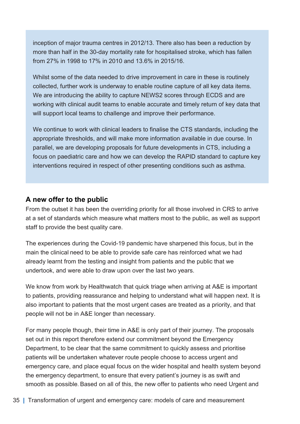inception of major trauma centres in 2012/13. There also has been a reduction by more than half in the 30-day mortality rate for hospitalised stroke, which has fallen from 27% in 1998 to 17% in 2010 and 13.6% in 2015/16.

Whilst some of the data needed to drive improvement in care in these is routinely collected, further work is underway to enable routine capture of all key data items. We are introducing the ability to capture NEWS2 scores through ECDS and are working with clinical audit teams to enable accurate and timely return of key data that will support local teams to challenge and improve their performance.

We continue to work with clinical leaders to finalise the CTS standards, including the appropriate thresholds, and will make more information available in due course. In parallel, we are developing proposals for future developments in CTS, including a focus on paediatric care and how we can develop the RAPID standard to capture key interventions required in respect of other presenting conditions such as asthma.

#### A new offer to the public

From the outset it has been the overriding priority for all those involved in CRS to arrive at a set of standards which measure what matters most to the public, as well as support staff to provide the best quality care.

The experiences during the Covid-19 pandemic have sharpened this focus, but in the main the clinical need to be able to provide safe care has reinforced what we had already learnt from the testing and insight from patients and the public that we undertook, and were able to draw upon over the last two years.

We know from work by Healthwatch that quick triage when arriving at A&E is important to patients, providing reassurance and helping to understand what will happen next. It is also important to patients that the most urgent cases are treated as a priority, and that people will not be in A&E longer than necessary.

For many people though, their time in A&E is only part of their journey. The proposals set out in this report therefore extend our commitment beyond the Emergency Department, to be clear that the same commitment to quickly assess and prioritise patients will be undertaken whatever route people choose to access urgent and emergency care, and place equal focus on the wider hospital and health system beyond the emergency department, to ensure that every patient's journey is as swift and smooth as possible. Based on all of this, the new offer to patients who need Urgent and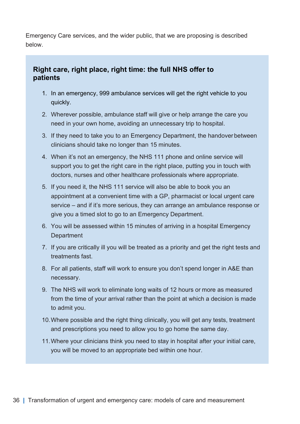Emergency Care services, and the wider public, that we are proposing is described below.

#### Right care, right place, right time: the full NHS offer to patients

- 1. In an emergency, 999 ambulance services will get the right vehicle to you quickly.
- 2. Wherever possible, ambulance staff will give or help arrange the care you need in your own home, avoiding an unnecessary trip to hospital.
- 3. If they need to take you to an Emergency Department, the handover between clinicians should take no longer than 15 minutes.
- 4. When it's not an emergency, the NHS 111 phone and online service will support you to get the right care in the right place, putting you in touch with doctors, nurses and other healthcare professionals where appropriate.
- 5. If you need it, the NHS 111 service will also be able to book you an appointment at a convenient time with a GP, pharmacist or local urgent care service – and if it's more serious, they can arrange an ambulance response or give you a timed slot to go to an Emergency Department.
- 6. You will be assessed within 15 minutes of arriving in a hospital Emergency **Department**
- 7. If you are critically ill you will be treated as a priority and get the right tests and treatments fast.
- 8. For all patients, staff will work to ensure you don't spend longer in A&E than necessary.
- 9. The NHS will work to eliminate long waits of 12 hours or more as measured from the time of your arrival rather than the point at which a decision is made to admit you.
- 10. Where possible and the right thing clinically, you will get any tests, treatment and prescriptions you need to allow you to go home the same day.
- 11. Where your clinicians think you need to stay in hospital after your initial care, you will be moved to an appropriate bed within one hour.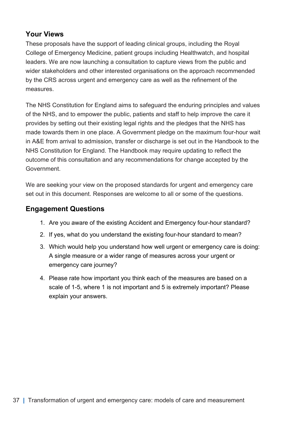#### Your Views

These proposals have the support of leading clinical groups, including the Royal College of Emergency Medicine, patient groups including Healthwatch, and hospital leaders. We are now launching a consultation to capture views from the public and wider stakeholders and other interested organisations on the approach recommended by the CRS across urgent and emergency care as well as the refinement of the measures.

The NHS Constitution for England aims to safeguard the enduring principles and values of the NHS, and to empower the public, patients and staff to help improve the care it provides by setting out their existing legal rights and the pledges that the NHS has made towards them in one place. A Government pledge on the maximum four-hour wait in A&E from arrival to admission, transfer or discharge is set out in the Handbook to the NHS Constitution for England. The Handbook may require updating to reflect the outcome of this consultation and any recommendations for change accepted by the Government.

We are seeking your view on the proposed standards for urgent and emergency care set out in this document. Responses are welcome to all or some of the questions.

#### Engagement Questions

- 1. Are you aware of the existing Accident and Emergency four-hour standard?
- 2. If yes, what do you understand the existing four-hour standard to mean?
- 3. Which would help you understand how well urgent or emergency care is doing: A single measure or a wider range of measures across your urgent or emergency care journey?
- 4. Please rate how important you think each of the measures are based on a scale of 1-5, where 1 is not important and 5 is extremely important? Please explain your answers.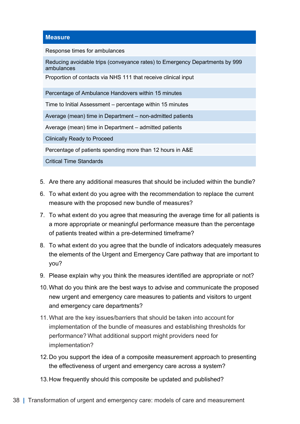#### **Measure**

Response times for ambulances

Reducing avoidable trips (conveyance rates) to Emergency Departments by 999 ambulances

Proportion of contacts via NHS 111 that receive clinical input

Percentage of Ambulance Handovers within 15 minutes

Time to Initial Assessment – percentage within 15 minutes

Average (mean) time in Department – non-admitted patients

Average (mean) time in Department – admitted patients

Clinically Ready to Proceed

Percentage of patients spending more than 12 hours in A&E

Critical Time Standards

- 5. Are there any additional measures that should be included within the bundle?
- 6. To what extent do you agree with the recommendation to replace the current measure with the proposed new bundle of measures?
- 7. To what extent do you agree that measuring the average time for all patients is a more appropriate or meaningful performance measure than the percentage of patients treated within a pre-determined timeframe?
- 8. To what extent do you agree that the bundle of indicators adequately measures the elements of the Urgent and Emergency Care pathway that are important to you?
- 9. Please explain why you think the measures identified are appropriate or not?
- 10. What do you think are the best ways to advise and communicate the proposed new urgent and emergency care measures to patients and visitors to urgent and emergency care departments?
- 11. What are the key issues/barriers that should be taken into account for implementation of the bundle of measures and establishing thresholds for performance? What additional support might providers need for implementation?
- 12. Do you support the idea of a composite measurement approach to presenting the effectiveness of urgent and emergency care across a system?
- 13. How frequently should this composite be updated and published?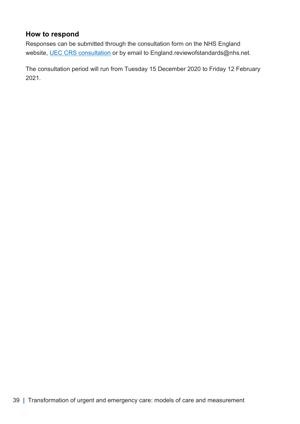#### How to respond

Responses can be submitted through the consultation form on the NHS England website, [UEC CRS consultation](https://nhs.researchfeedback.net/s.asp?k=160396767414) or by email to England.reviewofstandards@nhs.net.

The consultation period will run from Tuesday 15 December 2020 to Friday 12 February 2021.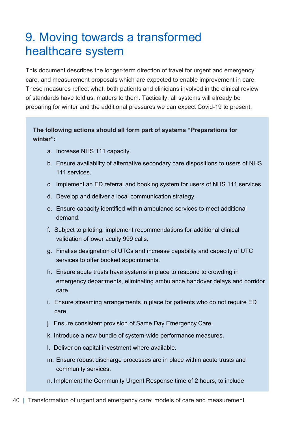### 9. Moving towards a transformed healthcare system

This document describes the longer-term direction of travel for urgent and emergency care, and measurement proposals which are expected to enable improvement in care. These measures reflect what, both patients and clinicians involved in the clinical review of standards have told us, matters to them. Tactically, all systems will already be preparing for winter and the additional pressures we can expect Covid-19 to present.

#### The following actions should all form part of systems "Preparations for winter":

- a. Increase NHS 111 capacity.
- b. Ensure availability of alternative secondary care dispositions to users of NHS 111 services.
- c. Implement an ED referral and booking system for users of NHS 111 services.
- d. Develop and deliver a local communication strategy.
- e. Ensure capacity identified within ambulance services to meet additional demand.
- f. Subject to piloting, implement recommendations for additional clinical validation of lower acuity 999 calls.
- g. Finalise designation of UTCs and increase capability and capacity of UTC services to offer booked appointments.
- h. Ensure acute trusts have systems in place to respond to crowding in emergency departments, eliminating ambulance handover delays and corridor care.
- i. Ensure streaming arrangements in place for patients who do not require ED care.
- j. Ensure consistent provision of Same Day Emergency Care.
- k. Introduce a new bundle of system-wide performance measures.
- l. Deliver on capital investment where available.
- m. Ensure robust discharge processes are in place within acute trusts and community services.
- n. Implement the Community Urgent Response time of 2 hours, to include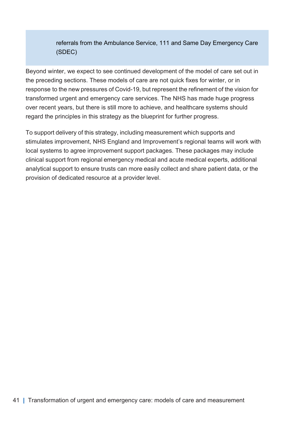referrals from the Ambulance Service, 111 and Same Day Emergency Care (SDEC)

Beyond winter, we expect to see continued development of the model of care set out in the preceding sections. These models of care are not quick fixes for winter, or in response to the new pressures of Covid-19, but represent the refinement of the vision for transformed urgent and emergency care services. The NHS has made huge progress over recent years, but there is still more to achieve, and healthcare systems should regard the principles in this strategy as the blueprint for further progress.

To support delivery of this strategy, including measurement which supports and stimulates improvement, NHS England and Improvement's regional teams will work with local systems to agree improvement support packages. These packages may include clinical support from regional emergency medical and acute medical experts, additional analytical support to ensure trusts can more easily collect and share patient data, or the provision of dedicated resource at a provider level.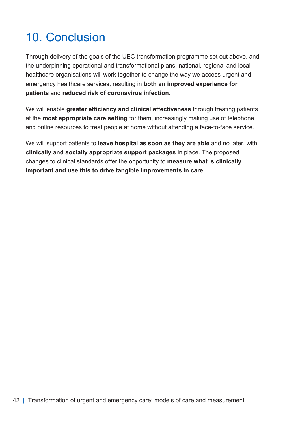## 10. Conclusion

Through delivery of the goals of the UEC transformation programme set out above, and the underpinning operational and transformational plans, national, regional and local healthcare organisations will work together to change the way we access urgent and emergency healthcare services, resulting in both an improved experience for patients and reduced risk of coronavirus infection.

We will enable greater efficiency and clinical effectiveness through treating patients at the most appropriate care setting for them, increasingly making use of telephone and online resources to treat people at home without attending a face-to-face service.

We will support patients to leave hospital as soon as they are able and no later, with clinically and socially appropriate support packages in place. The proposed changes to clinical standards offer the opportunity to measure what is clinically important and use this to drive tangible improvements in care.